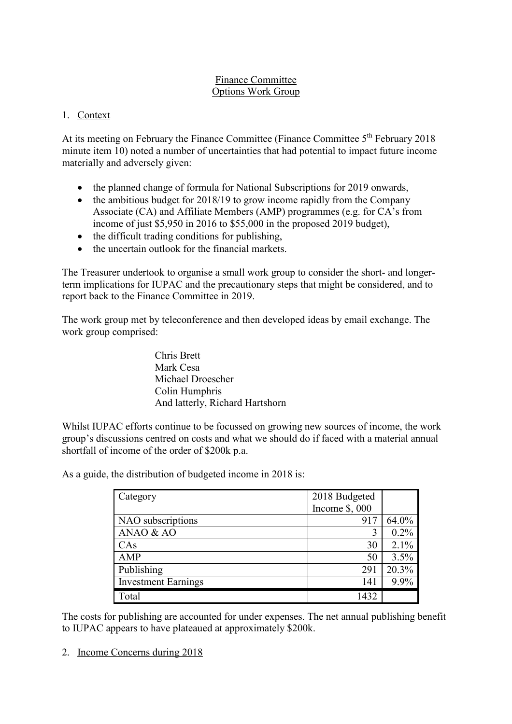#### Finance Committee Options Work Group

## 1. Context

At its meeting on February the Finance Committee (Finance Committee 5<sup>th</sup> February 2018) minute item 10) noted a number of uncertainties that had potential to impact future income materially and adversely given:

- the planned change of formula for National Subscriptions for 2019 onwards,
- the ambitious budget for 2018/19 to grow income rapidly from the Company Associate (CA) and Affiliate Members (AMP) programmes (e.g. for CA's from income of just \$5,950 in 2016 to \$55,000 in the proposed 2019 budget),
- the difficult trading conditions for publishing,
- the uncertain outlook for the financial markets.

The Treasurer undertook to organise a small work group to consider the short- and longerterm implications for IUPAC and the precautionary steps that might be considered, and to report back to the Finance Committee in 2019.

The work group met by teleconference and then developed ideas by email exchange. The work group comprised:

> Chris Brett Mark Cesa Michael Droescher Colin Humphris And latterly, Richard Hartshorn

Whilst IUPAC efforts continue to be focussed on growing new sources of income, the work group's discussions centred on costs and what we should do if faced with a material annual shortfall of income of the order of \$200k p.a.

| Category                   | 2018 Budgeted |       |
|----------------------------|---------------|-------|
|                            | Income \$,000 |       |
| NAO subscriptions          | 917           | 64.0% |
| ANAO & AO                  | 3             | 0.2%  |
| CAs                        | 30            | 2.1%  |
| <b>AMP</b>                 | 50            | 3.5%  |
| Publishing                 | 291           | 20.3% |
| <b>Investment Earnings</b> | 141           | 9.9%  |
| Total                      | 1432          |       |

As a guide, the distribution of budgeted income in 2018 is:

The costs for publishing are accounted for under expenses. The net annual publishing benefit to IUPAC appears to have plateaued at approximately \$200k.

2. Income Concerns during 2018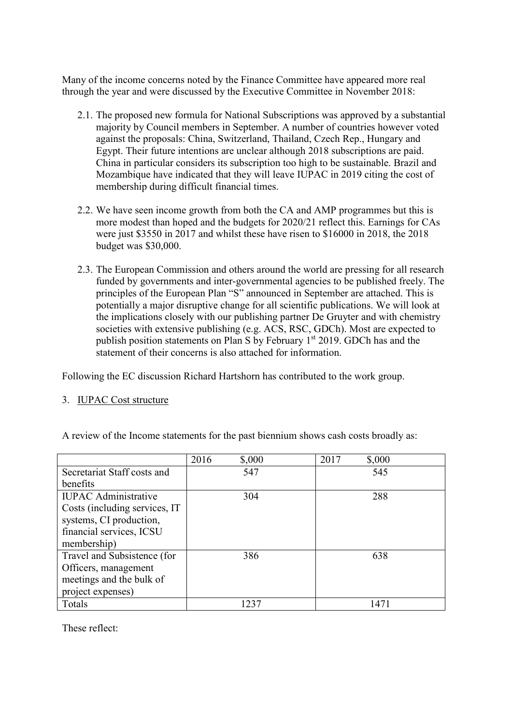Many of the income concerns noted by the Finance Committee have appeared more real through the year and were discussed by the Executive Committee in November 2018:

- 2.1. The proposed new formula for National Subscriptions was approved by a substantial majority by Council members in September. A number of countries however voted against the proposals: China, Switzerland, Thailand, Czech Rep., Hungary and Egypt. Their future intentions are unclear although 2018 subscriptions are paid. China in particular considers its subscription too high to be sustainable. Brazil and Mozambique have indicated that they will leave IUPAC in 2019 citing the cost of membership during difficult financial times.
- 2.2. We have seen income growth from both the CA and AMP programmes but this is more modest than hoped and the budgets for 2020/21 reflect this. Earnings for CAs were just \$3550 in 2017 and whilst these have risen to \$16000 in 2018, the 2018 budget was \$30,000.
- 2.3. The European Commission and others around the world are pressing for all research funded by governments and inter-governmental agencies to be published freely. The principles of the European Plan "S" announced in September are attached. This is potentially a major disruptive change for all scientific publications. We will look at the implications closely with our publishing partner De Gruyter and with chemistry societies with extensive publishing (e.g. ACS, RSC, GDCh). Most are expected to publish position statements on Plan S by February  $1<sup>st</sup>$  2019. GDCh has and the statement of their concerns is also attached for information.

Following the EC discussion Richard Hartshorn has contributed to the work group.

### 3. IUPAC Cost structure

|                                | 2016<br>\$,000 | 2017<br>\$,000 |
|--------------------------------|----------------|----------------|
| Secretariat Staff costs and    | 547            | 545            |
| benefits                       |                |                |
| <b>IUPAC</b> Administrative    | 304            | 288            |
| Costs (including services, IT) |                |                |
| systems, CI production,        |                |                |
| financial services, ICSU       |                |                |
| membership)                    |                |                |
| Travel and Subsistence (for    | 386            | 638            |
| Officers, management           |                |                |
| meetings and the bulk of       |                |                |
| project expenses)              |                |                |
| Totals                         | 1237           | 1471           |

A review of the Income statements for the past biennium shows cash costs broadly as:

These reflect: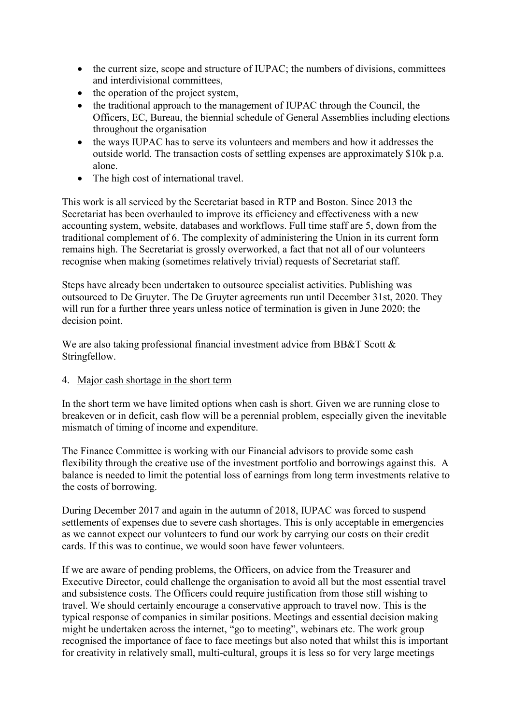- the current size, scope and structure of IUPAC; the numbers of divisions, committees and interdivisional committees,
- the operation of the project system,
- the traditional approach to the management of IUPAC through the Council, the Officers, EC, Bureau, the biennial schedule of General Assemblies including elections throughout the organisation
- the ways IUPAC has to serve its volunteers and members and how it addresses the outside world. The transaction costs of settling expenses are approximately \$10k p.a. alone.
- The high cost of international travel.

This work is all serviced by the Secretariat based in RTP and Boston. Since 2013 the Secretariat has been overhauled to improve its efficiency and effectiveness with a new accounting system, website, databases and workflows. Full time staff are 5, down from the traditional complement of 6. The complexity of administering the Union in its current form remains high. The Secretariat is grossly overworked, a fact that not all of our volunteers recognise when making (sometimes relatively trivial) requests of Secretariat staff.

Steps have already been undertaken to outsource specialist activities. Publishing was outsourced to De Gruyter. The De Gruyter agreements run until December 31st, 2020. They will run for a further three years unless notice of termination is given in June 2020; the decision point.

We are also taking professional financial investment advice from BB&T Scott & Stringfellow.

4. Major cash shortage in the short term

In the short term we have limited options when cash is short. Given we are running close to breakeven or in deficit, cash flow will be a perennial problem, especially given the inevitable mismatch of timing of income and expenditure.

The Finance Committee is working with our Financial advisors to provide some cash flexibility through the creative use of the investment portfolio and borrowings against this. A balance is needed to limit the potential loss of earnings from long term investments relative to the costs of borrowing.

During December 2017 and again in the autumn of 2018, IUPAC was forced to suspend settlements of expenses due to severe cash shortages. This is only acceptable in emergencies as we cannot expect our volunteers to fund our work by carrying our costs on their credit cards. If this was to continue, we would soon have fewer volunteers.

If we are aware of pending problems, the Officers, on advice from the Treasurer and Executive Director, could challenge the organisation to avoid all but the most essential travel and subsistence costs. The Officers could require justification from those still wishing to travel. We should certainly encourage a conservative approach to travel now. This is the typical response of companies in similar positions. Meetings and essential decision making might be undertaken across the internet, "go to meeting", webinars etc. The work group recognised the importance of face to face meetings but also noted that whilst this is important for creativity in relatively small, multi-cultural, groups it is less so for very large meetings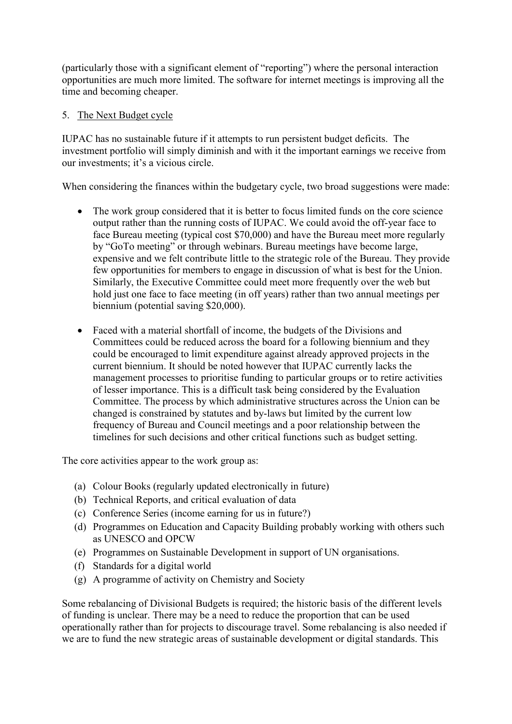(particularly those with a significant element of "reporting") where the personal interaction opportunities are much more limited. The software for internet meetings is improving all the time and becoming cheaper.

### 5. The Next Budget cycle

IUPAC has no sustainable future if it attempts to run persistent budget deficits. The investment portfolio will simply diminish and with it the important earnings we receive from our investments; it's a vicious circle.

When considering the finances within the budgetary cycle, two broad suggestions were made:

- The work group considered that it is better to focus limited funds on the core science output rather than the running costs of IUPAC. We could avoid the off-year face to face Bureau meeting (typical cost \$70,000) and have the Bureau meet more regularly by "GoTo meeting" or through webinars. Bureau meetings have become large, expensive and we felt contribute little to the strategic role of the Bureau. They provide few opportunities for members to engage in discussion of what is best for the Union. Similarly, the Executive Committee could meet more frequently over the web but hold just one face to face meeting (in off years) rather than two annual meetings per biennium (potential saving \$20,000).
- Faced with a material shortfall of income, the budgets of the Divisions and Committees could be reduced across the board for a following biennium and they could be encouraged to limit expenditure against already approved projects in the current biennium. It should be noted however that IUPAC currently lacks the management processes to prioritise funding to particular groups or to retire activities of lesser importance. This is a difficult task being considered by the Evaluation Committee. The process by which administrative structures across the Union can be changed is constrained by statutes and by-laws but limited by the current low frequency of Bureau and Council meetings and a poor relationship between the timelines for such decisions and other critical functions such as budget setting.

The core activities appear to the work group as:

- (a) Colour Books (regularly updated electronically in future)
- (b) Technical Reports, and critical evaluation of data
- (c) Conference Series (income earning for us in future?)
- (d) Programmes on Education and Capacity Building probably working with others such as UNESCO and OPCW
- (e) Programmes on Sustainable Development in support of UN organisations.
- (f) Standards for a digital world
- (g) A programme of activity on Chemistry and Society

Some rebalancing of Divisional Budgets is required; the historic basis of the different levels of funding is unclear. There may be a need to reduce the proportion that can be used operationally rather than for projects to discourage travel. Some rebalancing is also needed if we are to fund the new strategic areas of sustainable development or digital standards. This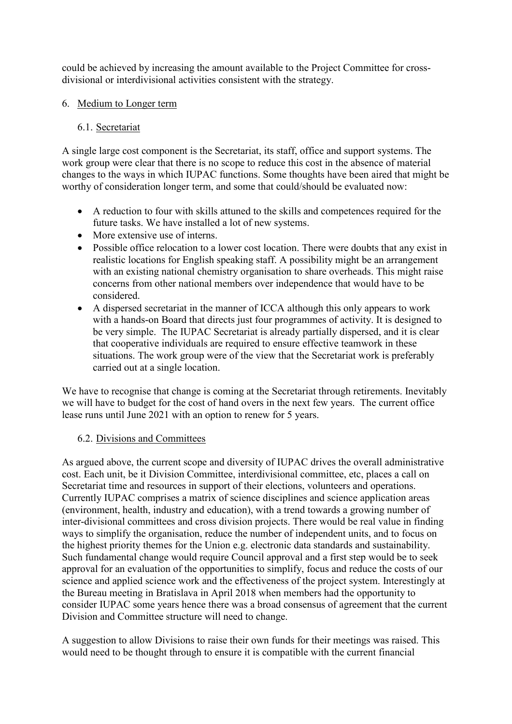could be achieved by increasing the amount available to the Project Committee for crossdivisional or interdivisional activities consistent with the strategy.

### 6. Medium to Longer term

## 6.1. Secretariat

A single large cost component is the Secretariat, its staff, office and support systems. The work group were clear that there is no scope to reduce this cost in the absence of material changes to the ways in which IUPAC functions. Some thoughts have been aired that might be worthy of consideration longer term, and some that could/should be evaluated now:

- A reduction to four with skills attuned to the skills and competences required for the future tasks. We have installed a lot of new systems.
- More extensive use of interns.
- Possible office relocation to a lower cost location. There were doubts that any exist in realistic locations for English speaking staff. A possibility might be an arrangement with an existing national chemistry organisation to share overheads. This might raise concerns from other national members over independence that would have to be considered.
- A dispersed secretariat in the manner of ICCA although this only appears to work with a hands-on Board that directs just four programmes of activity. It is designed to be very simple. The IUPAC Secretariat is already partially dispersed, and it is clear that cooperative individuals are required to ensure effective teamwork in these situations. The work group were of the view that the Secretariat work is preferably carried out at a single location.

We have to recognise that change is coming at the Secretariat through retirements. Inevitably we will have to budget for the cost of hand overs in the next few years. The current office lease runs until June 2021 with an option to renew for 5 years.

### 6.2. Divisions and Committees

As argued above, the current scope and diversity of IUPAC drives the overall administrative cost. Each unit, be it Division Committee, interdivisional committee, etc, places a call on Secretariat time and resources in support of their elections, volunteers and operations. Currently IUPAC comprises a matrix of science disciplines and science application areas (environment, health, industry and education), with a trend towards a growing number of inter-divisional committees and cross division projects. There would be real value in finding ways to simplify the organisation, reduce the number of independent units, and to focus on the highest priority themes for the Union e.g. electronic data standards and sustainability. Such fundamental change would require Council approval and a first step would be to seek approval for an evaluation of the opportunities to simplify, focus and reduce the costs of our science and applied science work and the effectiveness of the project system. Interestingly at the Bureau meeting in Bratislava in April 2018 when members had the opportunity to consider IUPAC some years hence there was a broad consensus of agreement that the current Division and Committee structure will need to change.

A suggestion to allow Divisions to raise their own funds for their meetings was raised. This would need to be thought through to ensure it is compatible with the current financial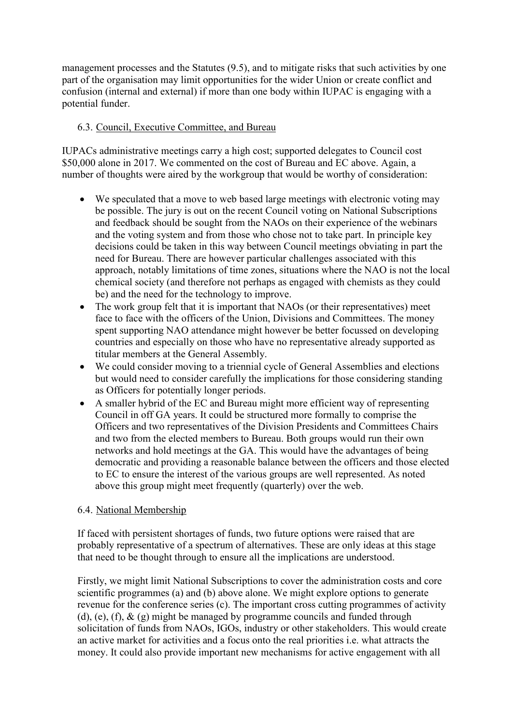management processes and the Statutes (9.5), and to mitigate risks that such activities by one part of the organisation may limit opportunities for the wider Union or create conflict and confusion (internal and external) if more than one body within IUPAC is engaging with a potential funder.

# 6.3. Council, Executive Committee, and Bureau

IUPACs administrative meetings carry a high cost; supported delegates to Council cost \$50,000 alone in 2017. We commented on the cost of Bureau and EC above. Again, a number of thoughts were aired by the workgroup that would be worthy of consideration:

- We speculated that a move to web based large meetings with electronic voting may be possible. The jury is out on the recent Council voting on National Subscriptions and feedback should be sought from the NAOs on their experience of the webinars and the voting system and from those who chose not to take part. In principle key decisions could be taken in this way between Council meetings obviating in part the need for Bureau. There are however particular challenges associated with this approach, notably limitations of time zones, situations where the NAO is not the local chemical society (and therefore not perhaps as engaged with chemists as they could be) and the need for the technology to improve.
- The work group felt that it is important that NAOs (or their representatives) meet face to face with the officers of the Union, Divisions and Committees. The money spent supporting NAO attendance might however be better focussed on developing countries and especially on those who have no representative already supported as titular members at the General Assembly.
- We could consider moving to a triennial cycle of General Assemblies and elections but would need to consider carefully the implications for those considering standing as Officers for potentially longer periods.
- A smaller hybrid of the EC and Bureau might more efficient way of representing Council in off GA years. It could be structured more formally to comprise the Officers and two representatives of the Division Presidents and Committees Chairs and two from the elected members to Bureau. Both groups would run their own networks and hold meetings at the GA. This would have the advantages of being democratic and providing a reasonable balance between the officers and those elected to EC to ensure the interest of the various groups are well represented. As noted above this group might meet frequently (quarterly) over the web.

### 6.4. National Membership

If faced with persistent shortages of funds, two future options were raised that are probably representative of a spectrum of alternatives. These are only ideas at this stage that need to be thought through to ensure all the implications are understood.

Firstly, we might limit National Subscriptions to cover the administration costs and core scientific programmes (a) and (b) above alone. We might explore options to generate revenue for the conference series (c). The important cross cutting programmes of activity (d), (e), (f),  $\&$  (g) might be managed by programme councils and funded through solicitation of funds from NAOs, IGOs, industry or other stakeholders. This would create an active market for activities and a focus onto the real priorities i.e. what attracts the money. It could also provide important new mechanisms for active engagement with all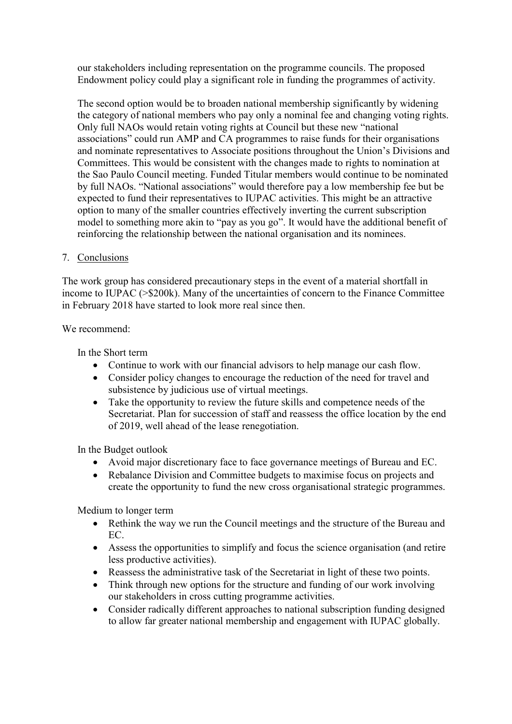our stakeholders including representation on the programme councils. The proposed Endowment policy could play a significant role in funding the programmes of activity.

The second option would be to broaden national membership significantly by widening the category of national members who pay only a nominal fee and changing voting rights. Only full NAOs would retain voting rights at Council but these new "national associations" could run AMP and CA programmes to raise funds for their organisations and nominate representatives to Associate positions throughout the Union's Divisions and Committees. This would be consistent with the changes made to rights to nomination at the Sao Paulo Council meeting. Funded Titular members would continue to be nominated by full NAOs. "National associations" would therefore pay a low membership fee but be expected to fund their representatives to IUPAC activities. This might be an attractive option to many of the smaller countries effectively inverting the current subscription model to something more akin to "pay as you go". It would have the additional benefit of reinforcing the relationship between the national organisation and its nominees.

### 7. Conclusions

The work group has considered precautionary steps in the event of a material shortfall in income to IUPAC (>\$200k). Many of the uncertainties of concern to the Finance Committee in February 2018 have started to look more real since then.

We recommend:

In the Short term

- Continue to work with our financial advisors to help manage our cash flow.
- Consider policy changes to encourage the reduction of the need for travel and subsistence by judicious use of virtual meetings.
- Take the opportunity to review the future skills and competence needs of the Secretariat. Plan for succession of staff and reassess the office location by the end of 2019, well ahead of the lease renegotiation.

In the Budget outlook

- Avoid major discretionary face to face governance meetings of Bureau and EC.
- Rebalance Division and Committee budgets to maximise focus on projects and create the opportunity to fund the new cross organisational strategic programmes.

Medium to longer term

- Rethink the way we run the Council meetings and the structure of the Bureau and EC.
- Assess the opportunities to simplify and focus the science organisation (and retire less productive activities).
- Reassess the administrative task of the Secretariat in light of these two points.
- Think through new options for the structure and funding of our work involving our stakeholders in cross cutting programme activities.
- Consider radically different approaches to national subscription funding designed to allow far greater national membership and engagement with IUPAC globally.